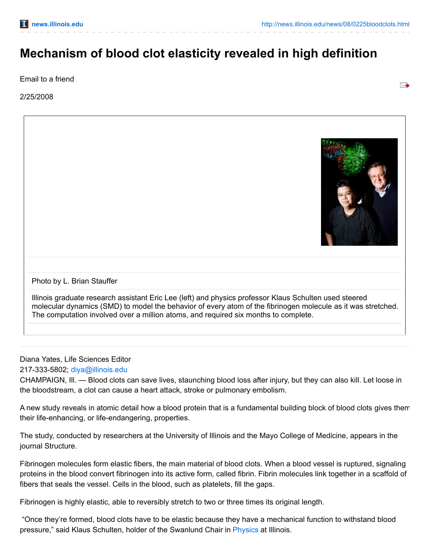## **Mechanism of blood clot elasticity revealed in high definition**

Email to a friend

2/25/2008



Photo by L. Brian Stauffer

Illinois graduate research assistant Eric Lee (left) and physics professor Klaus Schulten used steered molecular dynamics (SMD) to model the behavior of every atom of the fibrinogen molecule as it was stretched. The computation involved over a million atoms, and required six months to complete.

## Diana Yates, Life Sciences Editor

217-333-5802; [diya@illinois.edu](mailto:diya@illinois.edu)

CHAMPAIGN, Ill. — Blood clots can save lives, staunching blood loss after injury, but they can also kill. Let loose in the bloodstream, a clot can cause a heart attack, stroke or pulmonary embolism.

A new study reveals in atomic detail how a blood protein that is a fundamental building block of blood clots gives them their life-enhancing, or life-endangering, properties.

The study, conducted by researchers at the University of Illinois and the Mayo College of Medicine, appears in the journal Structure.

Fibrinogen molecules form elastic fibers, the main material of blood clots. When a blood vessel is ruptured, signaling proteins in the blood convert fibrinogen into its active form, called fibrin. Fibrin molecules link together in a scaffold of fibers that seals the vessel. Cells in the blood, such as platelets, fill the gaps.

Fibrinogen is highly elastic, able to reversibly stretch to two or three times its original length.

"Once they're formed, blood clots have to be elastic because they have a mechanical function to withstand blood pressure," said Klaus Schulten, holder of the Swanlund Chair in [Physics](http://www.physics.uiuc.edu/) at Illinois.